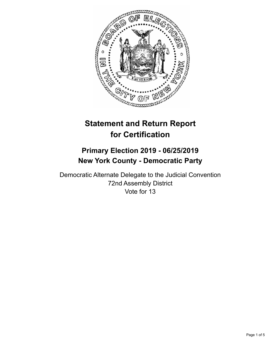

# **Statement and Return Report for Certification**

## **Primary Election 2019 - 06/25/2019 New York County - Democratic Party**

Democratic Alternate Delegate to the Judicial Convention 72nd Assembly District Vote for 13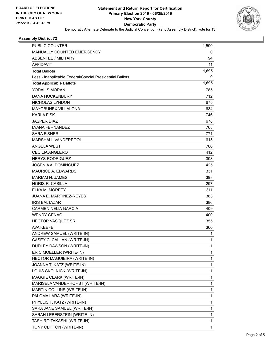

#### **Assembly District 72**

| PUBLIC COUNTER                                           | 1,590        |
|----------------------------------------------------------|--------------|
| MANUALLY COUNTED EMERGENCY                               | 0            |
| <b>ABSENTEE / MILITARY</b>                               | 94           |
| <b>AFFIDAVIT</b>                                         | 11           |
| <b>Total Ballots</b>                                     | 1,695        |
| Less - Inapplicable Federal/Special Presidential Ballots | 0            |
| <b>Total Applicable Ballots</b>                          | 1,695        |
| YODALIS MORAN                                            | 785          |
| <b>DANA HOCKENBURY</b>                                   | 712          |
| NICHOLAS LYNDON                                          | 675          |
| <b>MAYOBUNEX VILLALONA</b>                               | 634          |
| <b>KARLA FISK</b>                                        | 746          |
| <b>JASPER DIAZ</b>                                       | 678          |
| LYANA FERNANDEZ                                          | 768          |
| <b>SARA FISHER</b>                                       | 771          |
| MARSHALL VANDERPOOL                                      | 615          |
| <b>ANGELA WEST</b>                                       | 786          |
| CECILIA ANGLERO                                          | 412          |
| <b>NERYS RODRIGUEZ</b>                                   | 393          |
| JOSENIA A. DOMINGUEZ                                     | 425          |
| <b>MAURICE A. EDWARDS</b>                                | 331          |
| <b>MARIAM N. JAMES</b>                                   | 398          |
| <b>NORIS R. CASILLA</b>                                  | 297          |
| <b>ELKA M. MORETY</b>                                    | 311          |
| JUANA E. MARTINEZ-REYES                                  | 383          |
| <b>IRIS BALTAZAR</b>                                     | 386          |
| <b>CARMEN NELIA GARCIA</b>                               | 409          |
| <b>WENDY GENAO</b>                                       | 400          |
| <b>HECTOR VASQUEZ SR.</b>                                | 355          |
| <b>AVA KEEFE</b>                                         | 360          |
| ANDREW SAMUEL (WRITE-IN)                                 | 1            |
| CASEY C. CALLAN (WRITE-IN)                               | 1            |
| DUDLEY DAWSON (WRITE-IN)                                 | $\mathbf{1}$ |
| ERIC MOELLER (WRITE-IN)                                  | $\mathbf{1}$ |
| HECTOR MAGUIEIRA (WRITE-IN)                              | 1            |
| JOANNA T. KATZ (WRITE-IN)                                | 1            |
| LOUIS SKOLNICK (WRITE-IN)                                | $\mathbf{1}$ |
| MAGGIE CLARK (WRITE-IN)                                  | 1            |
| MARISELA VANDERHORST (WRITE-IN)                          | 1            |
| MARTIN COLLINS (WRITE-IN)                                | $\mathbf 1$  |
| PALOMA LARA (WRITE-IN)                                   | 1            |
| PHYLLIS T. KATZ (WRITE-IN)                               | 1            |
| SARA JANE SAMUEL (WRITE-IN)                              | $\mathbf{1}$ |
| SARAH LEBERSTEIN (WRITE-IN)                              | $\mathbf{1}$ |
| TASHIRO TAKASHI (WRITE-IN)                               | 1            |
| TONY CLIFTON (WRITE-IN)                                  | $\mathbf{1}$ |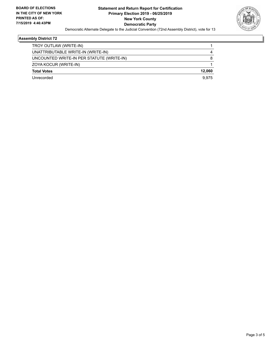

#### **Assembly District 72**

| Unrecorded                                | 9.975  |
|-------------------------------------------|--------|
| <b>Total Votes</b>                        | 12.060 |
| ZOYA KOCUR (WRITE-IN)                     |        |
| UNCOUNTED WRITE-IN PER STATUTE (WRITE-IN) | 8      |
| UNATTRIBUTABLE WRITE-IN (WRITE-IN)        | 4      |
| TROY OUTLAW (WRITE-IN)                    |        |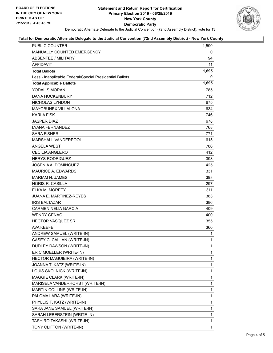

#### **Total for Democratic Alternate Delegate to the Judicial Convention (72nd Assembly District) - New York County**

| PUBLIC COUNTER                                           | 1,590 |
|----------------------------------------------------------|-------|
| MANUALLY COUNTED EMERGENCY                               | 0     |
| <b>ABSENTEE / MILITARY</b>                               | 94    |
| <b>AFFIDAVIT</b>                                         | 11    |
| <b>Total Ballots</b>                                     | 1,695 |
| Less - Inapplicable Federal/Special Presidential Ballots | 0     |
| <b>Total Applicable Ballots</b>                          | 1,695 |
| YODALIS MORAN                                            | 785   |
| <b>DANA HOCKENBURY</b>                                   | 712   |
| NICHOLAS LYNDON                                          | 675   |
| MAYOBUNEX VILLALONA                                      | 634   |
| <b>KARLA FISK</b>                                        | 746   |
| <b>JASPER DIAZ</b>                                       | 678   |
| LYANA FERNANDEZ                                          | 768   |
| <b>SARA FISHER</b>                                       | 771   |
| MARSHALL VANDERPOOL                                      | 615   |
| <b>ANGELA WEST</b>                                       | 786   |
| <b>CECILIA ANGLERO</b>                                   | 412   |
| <b>NERYS RODRIGUEZ</b>                                   | 393   |
| <b>JOSENIA A. DOMINGUEZ</b>                              | 425   |
| <b>MAURICE A. EDWARDS</b>                                | 331   |
| MARIAM N. JAMES                                          | 398   |
| <b>NORIS R. CASILLA</b>                                  | 297   |
| ELKA M. MORETY                                           | 311   |
| JUANA E. MARTINEZ-REYES                                  | 383   |
| <b>IRIS BALTAZAR</b>                                     | 386   |
| <b>CARMEN NELIA GARCIA</b>                               | 409   |
| <b>WENDY GENAO</b>                                       | 400   |
| HECTOR VASQUEZ SR.                                       | 355   |
| <b>AVA KEEFE</b>                                         | 360   |
| ANDREW SAMUEL (WRITE-IN)                                 | 1     |
| CASEY C. CALLAN (WRITE-IN)                               | 1     |
| DUDLEY DAWSON (WRITE-IN)                                 | 1     |
| ERIC MOELLER (WRITE-IN)                                  | 1     |
| HECTOR MAGUIEIRA (WRITE-IN)                              | 1     |
| JOANNA T. KATZ (WRITE-IN)                                | 1     |
| LOUIS SKOLNICK (WRITE-IN)                                | 1     |
| MAGGIE CLARK (WRITE-IN)                                  | 1     |
| MARISELA VANDERHORST (WRITE-IN)                          | 1     |
| MARTIN COLLINS (WRITE-IN)                                | 1     |
| PALOMA LARA (WRITE-IN)                                   | 1     |
| PHYLLIS T. KATZ (WRITE-IN)                               | 1     |
| SARA JANE SAMUEL (WRITE-IN)                              | 1     |
| SARAH LEBERSTEIN (WRITE-IN)                              | 1     |
| TASHIRO TAKASHI (WRITE-IN)                               | 1     |
| TONY CLIFTON (WRITE-IN)                                  | 1     |